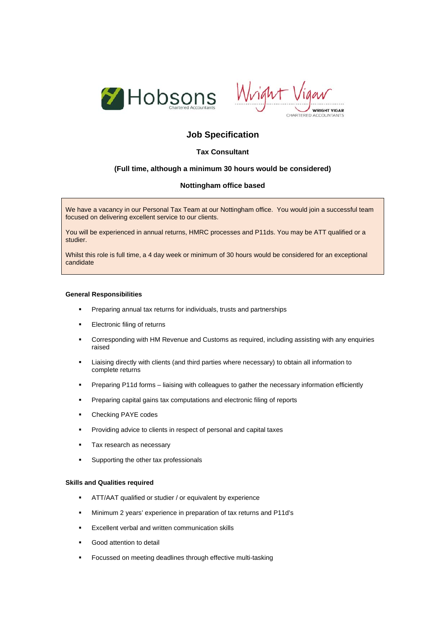



# **Job Specification**

## **Tax Consultant**

### **(Full time, although a minimum 30 hours would be considered)**

## **Nottingham office based**

We have a vacancy in our Personal Tax Team at our Nottingham office. You would join a successful team focused on delivering excellent service to our clients.

You will be experienced in annual returns, HMRC processes and P11ds. You may be ATT qualified or a studier.

Whilst this role is full time, a 4 day week or minimum of 30 hours would be considered for an exceptional candidate

#### **General Responsibilities**

- **Preparing annual tax returns for individuals, trusts and partnerships**
- **Electronic filing of returns**
- Corresponding with HM Revenue and Customs as required, including assisting with any enquiries raised
- Liaising directly with clients (and third parties where necessary) to obtain all information to complete returns
- Preparing P11d forms liaising with colleagues to gather the necessary information efficiently
- **Preparing capital gains tax computations and electronic filing of reports**
- Checking PAYE codes
- Providing advice to clients in respect of personal and capital taxes
- Tax research as necessary
- **Supporting the other tax professionals**

#### **Skills and Qualities required**

- ATT/AAT qualified or studier / or equivalent by experience
- Minimum 2 years' experience in preparation of tax returns and P11d's
- **EXCELLENT VERSUE AND WRITE A** EXCELLENT EXCELLENT EXCELLENT
- **Good attention to detail**
- Focussed on meeting deadlines through effective multi-tasking